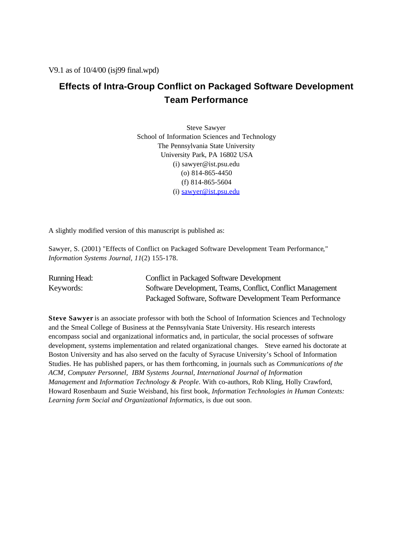V9.1 as of 10/4/00 (isj99 final.wpd)

# **Effects of Intra-Group Conflict on Packaged Software Development Team Performance**

Steve Sawyer School of Information Sciences and Technology The Pennsylvania State University University Park, PA 16802 USA (i) sawyer@ist.psu.edu (o) 814-865-4450 (f) 814-865-5604 (i) sawyer@ist.psu.edu

A slightly modified version of this manuscript is published as:

Sawyer, S. (2001) "Effects of Conflict on Packaged Software Development Team Performance*,*" *Information Systems Journal, 11*(2) 155-178.

| <b>Running Head:</b> | Conflict in Packaged Software Development                  |
|----------------------|------------------------------------------------------------|
| Keywords:            | Software Development, Teams, Conflict, Conflict Management |
|                      | Packaged Software, Software Development Team Performance   |

**Steve Sawyer** is an associate professor with both the School of Information Sciences and Technology and the Smeal College of Business at the Pennsylvania State University. His research interests encompass social and organizational informatics and, in particular, the social processes of software development, systems implementation and related organizational changes. Steve earned his doctorate at Boston University and has also served on the faculty of Syracuse University's School of Information Studies. He has published papers, or has them forthcoming, in journals such as *Communications of the ACM*, *Computer Personnel, IBM Systems Journal, International Journal of Information Management* and *Information Technology & People*. With co-authors, Rob Kling, Holly Crawford, Howard Rosenbaum and Suzie Weisband, his first book, *Information Technologies in Human Contexts: Learning form Social and Organizational Informatics*, is due out soon.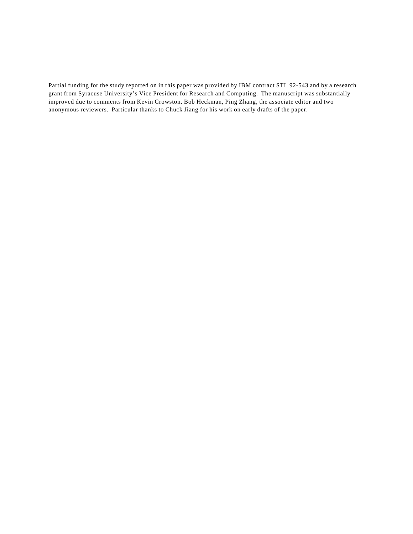Partial funding for the study reported on in this paper was provided by IBM contract STL 92-543 and by a research grant from Syracuse University's Vice President for Research and Computing. The manuscript was substantially improved due to comments from Kevin Crowston, Bob Heckman, Ping Zhang, the associate editor and two anonymous reviewers. Particular thanks to Chuck Jiang for his work on early drafts of the paper.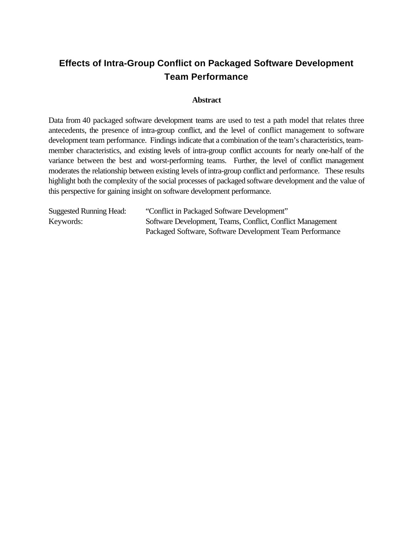# **Effects of Intra-Group Conflict on Packaged Software Development Team Performance**

# **Abstract**

Data from 40 packaged software development teams are used to test a path model that relates three antecedents, the presence of intra-group conflict, and the level of conflict management to software development team performance. Findings indicate that a combination of the team's characteristics, teammember characteristics, and existing levels of intra-group conflict accounts for nearly one-half of the variance between the best and worst-performing teams. Further, the level of conflict management moderates the relationship between existing levels ofintra-group conflict and performance. These results highlight both the complexity of the social processes of packaged software development and the value of this perspective for gaining insight on software development performance.

| <b>Suggested Running Head:</b> | "Conflict in Packaged Software Development"                |
|--------------------------------|------------------------------------------------------------|
| Keywords:                      | Software Development, Teams, Conflict, Conflict Management |
|                                | Packaged Software, Software Development Team Performance   |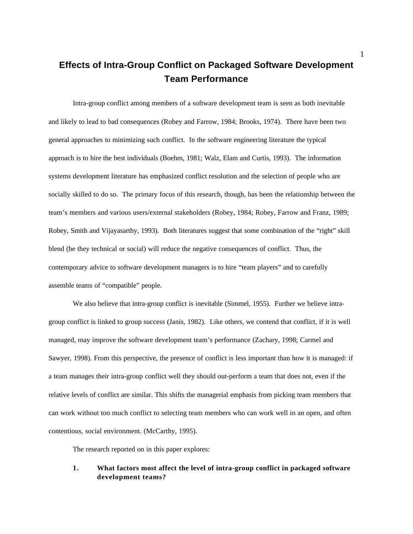# **Effects of Intra-Group Conflict on Packaged Software Development Team Performance**

Intra-group conflict among members of a software development team is seen as both inevitable and likely to lead to bad consequences (Robey and Farrow, 1984; Brooks, 1974). There have been two general approaches to minimizing such conflict. In the software engineering literature the typical approach is to hire the best individuals (Boehm, 1981; Walz, Elam and Curtis, 1993). The information systems development literature has emphasized conflict resolution and the selection of people who are socially skilled to do so. The primary focus of this research, though, has been the relationship between the team's members and various users/external stakeholders (Robey, 1984; Robey, Farrow and Franz, 1989; Robey, Smith and Vijayasarthy, 1993). Both literatures suggest that some combination of the "right" skill blend (be they technical or social) will reduce the negative consequences of conflict. Thus, the contemporary advice to software development managers is to hire "team players" and to carefully assemble teams of "compatible" people.

We also believe that intra-group conflict is inevitable (Simmel, 1955). Further we believe intragroup conflict is linked to group success (Janis, 1982). Like others, we contend that conflict, if it is well managed, may improve the software development team's performance (Zachary, 1998; Carmel and Sawyer, 1998). From this perspective, the presence of conflict is less important than how it is managed: if a team manages their intra-group conflict well they should out-perform a team that does not, even if the relative levels of conflict are similar. This shifts the managerial emphasis from picking team members that can work without too much conflict to selecting team members who can work well in an open, and often contentious, social environment. (McCarthy, 1995).

The research reported on in this paper explores:

# **1. What factors most affect the level of intra-group conflict in packaged software development teams?**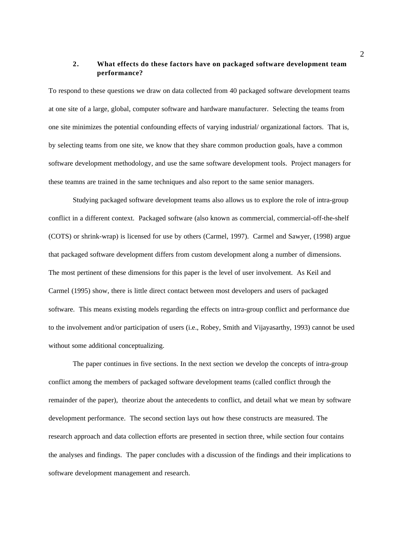# **2. What effects do these factors have on packaged software development team performance?**

To respond to these questions we draw on data collected from 40 packaged software development teams at one site of a large, global, computer software and hardware manufacturer. Selecting the teams from one site minimizes the potential confounding effects of varying industrial/ organizational factors. That is, by selecting teams from one site, we know that they share common production goals, have a common software development methodology, and use the same software development tools. Project managers for these teamns are trained in the same techniques and also report to the same senior managers.

Studying packaged software development teams also allows us to explore the role of intra-group conflict in a different context. Packaged software (also known as commercial, commercial-off-the-shelf (COTS) or shrink-wrap) is licensed for use by others (Carmel, 1997). Carmel and Sawyer, (1998) argue that packaged software development differs from custom development along a number of dimensions. The most pertinent of these dimensions for this paper is the level of user involvement. As Keil and Carmel (1995) show, there is little direct contact between most developers and users of packaged software. This means existing models regarding the effects on intra-group conflict and performance due to the involvement and/or participation of users (i.e., Robey, Smith and Vijayasarthy, 1993) cannot be used without some additional conceptualizing.

The paper continues in five sections. In the next section we develop the concepts of intra-group conflict among the members of packaged software development teams (called conflict through the remainder of the paper), theorize about the antecedents to conflict, and detail what we mean by software development performance. The second section lays out how these constructs are measured. The research approach and data collection efforts are presented in section three, while section four contains the analyses and findings. The paper concludes with a discussion of the findings and their implications to software development management and research.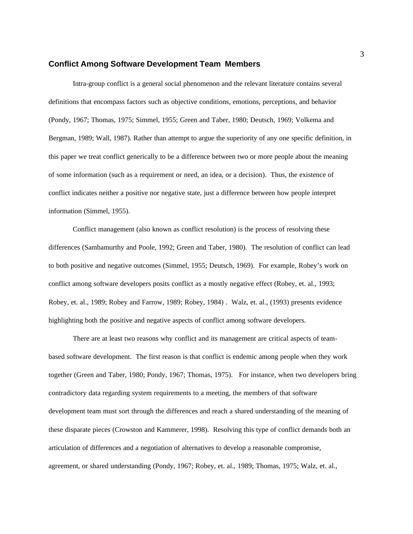## **Conflict Among Software Development Team Members**

Intra-group conflict is a general social phenomenon and the relevant literature contains several definitions that encompass factors such as objective conditions, emotions, perceptions, and behavior (Pondy, 1967; Thomas, 1975; Simmel, 1955; Green and Taber, 1980; Deutsch, 1969; Volkema and Bergman, 1989; Wall, 1987). Rather than attempt to argue the superiority of any one specific definition, in this paper we treat conflict generically to be a difference between two or more people about the meaning of some information (such as a requirement or need, an idea, or a decision). Thus, the existence of conflict indicates neither a positive nor negative state, just a difference between how people interpret information (Simmel, 1955).

Conflict management (also known as conflict resolution) is the process of resolving these differences (Sambamurthy and Poole, 1992; Green and Taber, 1980). The resolution of conflict can lead to both positive and negative outcomes (Simmel, 1955; Deutsch, 1969). For example, Robey's work on conflict among software developers posits conflict as a mostly negative effect (Robey, et. al., 1993; Robey, et. al., 1989; Robey and Farrow, 1989; Robey, 1984) . Walz, et. al., (1993) presents evidence highlighting both the positive and negative aspects of conflict among software developers.

There are at least two reasons why conflict and its management are critical aspects of teambased software development. The first reason is that conflict is endemic among people when they work together (Green and Taber, 1980; Pondy, 1967; Thomas, 1975). For instance, when two developers bring contradictory data regarding system requirements to a meeting, the members of that software development team must sort through the differences and reach a shared understanding of the meaning of these disparate pieces (Crowston and Kammerer, 1998). Resolving this type of conflict demands both an articulation of differences and a negotiation of alternatives to develop a reasonable compromise, agreement, or shared understanding (Pondy, 1967; Robey, et. al., 1989; Thomas, 1975; Walz, et. al.,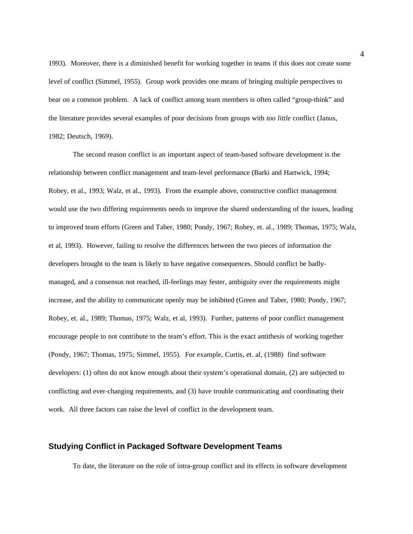1993). Moreover, there is a diminished benefit for working together in teams if this does not create some level of conflict (Simmel, 1955). Group work provides one means of bringing multiple perspectives to bear on a common problem. A lack of conflict among team members is often called "group-think" and the literature provides several examples of poor decisions from groups with *too little* conflict (Janus, 1982; Deutsch, 1969).

The second reason conflict is an important aspect of team-based software development is the relationship between conflict management and team-level performance (Barki and Hartwick, 1994; Robey, et al., 1993; Walz, et al., 1993). From the example above, constructive conflict management would use the two differing requirements needs to improve the shared understanding of the issues, leading to improved team efforts (Green and Taber, 1980; Pondy, 1967; Robey, et. al., 1989; Thomas, 1975; Walz, et al, 1993). However, failing to resolve the differences between the two pieces of information the developers brought to the team is likely to have negative consequences. Should conflict be badlymanaged, and a consensus not reached, ill-feelings may fester, ambiguity over the requirements might increase, and the ability to communicate openly may be inhibited (Green and Taber, 1980; Pondy, 1967; Robey, et. al., 1989; Thomas, 1975; Walz, et al, 1993). Further, patterns of poor conflict management encourage people to not contribute to the team's effort. This is the exact antithesis of working together (Pondy, 1967; Thomas, 1975; Simmel, 1955). For example, Curtis, et. al, (1988) find software developers: (1) often do not know enough about their system's operational domain, (2) are subjected to conflicting and ever-changing requirements, and (3) have trouble communicating and coordinating their work. All three factors can raise the level of conflict in the development team.

## **Studying Conflict in Packaged Software Development Teams**

To date, the literature on the role of intra-group conflict and its effects in software development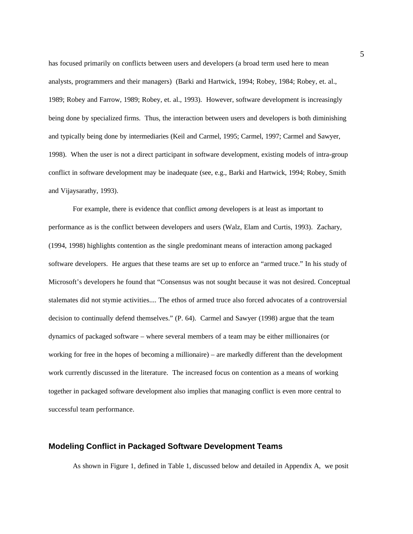has focused primarily on conflicts between users and developers (a broad term used here to mean analysts, programmers and their managers) (Barki and Hartwick, 1994; Robey, 1984; Robey, et. al., 1989; Robey and Farrow, 1989; Robey, et. al., 1993). However, software development is increasingly being done by specialized firms. Thus, the interaction between users and developers is both diminishing and typically being done by intermediaries (Keil and Carmel, 1995; Carmel, 1997; Carmel and Sawyer, 1998). When the user is not a direct participant in software development, existing models of intra-group conflict in software development may be inadequate (see, e.g., Barki and Hartwick, 1994; Robey, Smith and Vijaysarathy, 1993).

For example, there is evidence that conflict *among* developers is at least as important to performance as is the conflict between developers and users (Walz, Elam and Curtis, 1993). Zachary, (1994, 1998) highlights contention as the single predominant means of interaction among packaged software developers. He argues that these teams are set up to enforce an "armed truce." In his study of Microsoft's developers he found that "Consensus was not sought because it was not desired. Conceptual stalemates did not stymie activities.... The ethos of armed truce also forced advocates of a controversial decision to continually defend themselves." (P. 64). Carmel and Sawyer (1998) argue that the team dynamics of packaged software – where several members of a team may be either millionaires (or working for free in the hopes of becoming a millionaire) – are markedly different than the development work currently discussed in the literature. The increased focus on contention as a means of working together in packaged software development also implies that managing conflict is even more central to successful team performance.

## **Modeling Conflict in Packaged Software Development Teams**

As shown in Figure 1, defined in Table 1, discussed below and detailed in Appendix A, we posit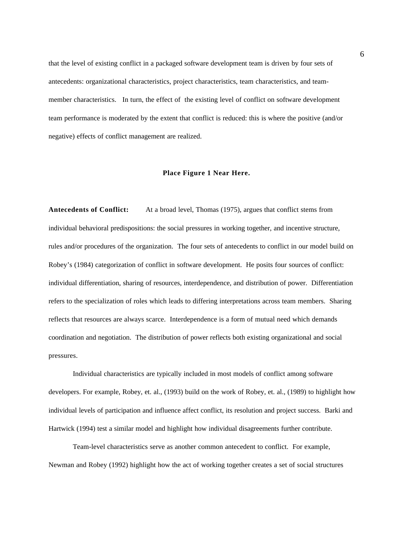that the level of existing conflict in a packaged software development team is driven by four sets of antecedents: organizational characteristics, project characteristics, team characteristics, and teammember characteristics. In turn, the effect of the existing level of conflict on software development team performance is moderated by the extent that conflict is reduced: this is where the positive (and/or negative) effects of conflict management are realized.

## **Place Figure 1 Near Here.**

**Antecedents of Conflict:** At a broad level, Thomas (1975), argues that conflict stems from individual behavioral predispositions: the social pressures in working together, and incentive structure, rules and/or procedures of the organization. The four sets of antecedents to conflict in our model build on Robey's (1984) categorization of conflict in software development. He posits four sources of conflict: individual differentiation, sharing of resources, interdependence, and distribution of power. Differentiation refers to the specialization of roles which leads to differing interpretations across team members. Sharing reflects that resources are always scarce. Interdependence is a form of mutual need which demands coordination and negotiation. The distribution of power reflects both existing organizational and social pressures.

Individual characteristics are typically included in most models of conflict among software developers. For example, Robey, et. al., (1993) build on the work of Robey, et. al., (1989) to highlight how individual levels of participation and influence affect conflict, its resolution and project success. Barki and Hartwick (1994) test a similar model and highlight how individual disagreements further contribute.

Team-level characteristics serve as another common antecedent to conflict. For example, Newman and Robey (1992) highlight how the act of working together creates a set of social structures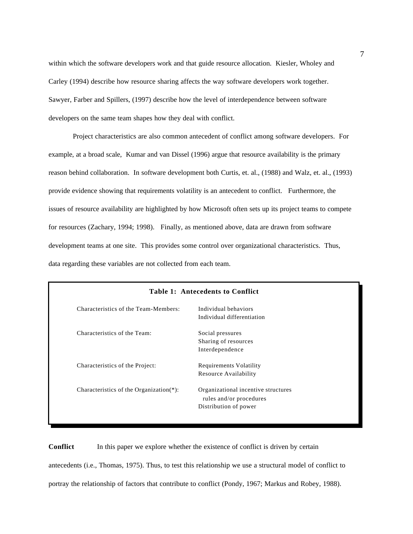within which the software developers work and that guide resource allocation. Kiesler, Wholey and Carley (1994) describe how resource sharing affects the way software developers work together. Sawyer, Farber and Spillers, (1997) describe how the level of interdependence between software developers on the same team shapes how they deal with conflict.

Project characteristics are also common antecedent of conflict among software developers. For example, at a broad scale, Kumar and van Dissel (1996) argue that resource availability is the primary reason behind collaboration. In software development both Curtis, et. al., (1988) and Walz, et. al., (1993) provide evidence showing that requirements volatility is an antecedent to conflict. Furthermore, the issues of resource availability are highlighted by how Microsoft often sets up its project teams to compete for resources (Zachary, 1994; 1998). Finally, as mentioned above, data are drawn from software development teams at one site. This provides some control over organizational characteristics. Thus, data regarding these variables are not collected from each team.

|                                             | Table 1: Antecedents to Conflict                                                        |  |  |  |  |  |  |
|---------------------------------------------|-----------------------------------------------------------------------------------------|--|--|--|--|--|--|
| Characteristics of the Team-Members:        | Individual behaviors<br>Individual differentiation                                      |  |  |  |  |  |  |
| Characteristics of the Team:                | Social pressures<br>Sharing of resources<br>Interdependence                             |  |  |  |  |  |  |
| Characteristics of the Project:             | <b>Requirements Volatility</b><br>Resource Availability                                 |  |  |  |  |  |  |
| Characteristics of the Organization $(*)$ : | Organizational incentive structures<br>rules and/or procedures<br>Distribution of power |  |  |  |  |  |  |

**Conflict** In this paper we explore whether the existence of conflict is driven by certain antecedents (i.e., Thomas, 1975). Thus, to test this relationship we use a structural model of conflict to portray the relationship of factors that contribute to conflict (Pondy, 1967; Markus and Robey, 1988).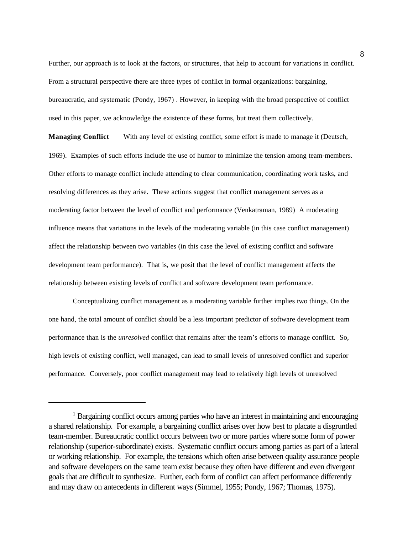Further, our approach is to look at the factors, or structures, that help to account for variations in conflict. From a structural perspective there are three types of conflict in formal organizations: bargaining, bureaucratic, and systematic (Pondy, 1967)<sup>1</sup>. However, in keeping with the broad perspective of conflict used in this paper, we acknowledge the existence of these forms, but treat them collectively.

**Managing Conflict** With any level of existing conflict, some effort is made to manage it (Deutsch, 1969). Examples of such efforts include the use of humor to minimize the tension among team-members. Other efforts to manage conflict include attending to clear communication, coordinating work tasks, and resolving differences as they arise. These actions suggest that conflict management serves as a moderating factor between the level of conflict and performance (Venkatraman, 1989) A moderating influence means that variations in the levels of the moderating variable (in this case conflict management) affect the relationship between two variables (in this case the level of existing conflict and software development team performance). That is, we posit that the level of conflict management affects the relationship between existing levels of conflict and software development team performance.

Conceptualizing conflict management as a moderating variable further implies two things. On the one hand, the total amount of conflict should be a less important predictor of software development team performance than is the *unresolved* conflict that remains after the team's efforts to manage conflict. So, high levels of existing conflict, well managed, can lead to small levels of unresolved conflict and superior performance. Conversely, poor conflict management may lead to relatively high levels of unresolved

<sup>&</sup>lt;sup>1</sup> Bargaining conflict occurs among parties who have an interest in maintaining and encouraging a shared relationship. For example, a bargaining conflict arises over how best to placate a disgruntled team-member. Bureaucratic conflict occurs between two or more parties where some form of power relationship (superior-subordinate) exists. Systematic conflict occurs among parties as part of a lateral or working relationship. For example, the tensions which often arise between quality assurance people and software developers on the same team exist because they often have different and even divergent goals that are difficult to synthesize. Further, each form of conflict can affect performance differently and may draw on antecedents in different ways (Simmel, 1955; Pondy, 1967; Thomas, 1975).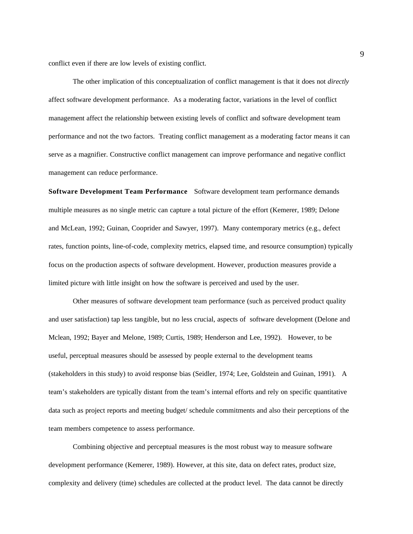conflict even if there are low levels of existing conflict.

The other implication of this conceptualization of conflict management is that it does not *directly* affect software development performance. As a moderating factor, variations in the level of conflict management affect the relationship between existing levels of conflict and software development team performance and not the two factors. Treating conflict management as a moderating factor means it can serve as a magnifier. Constructive conflict management can improve performance and negative conflict management can reduce performance.

**Software Development Team Performance** Software development team performance demands multiple measures as no single metric can capture a total picture of the effort (Kemerer, 1989; Delone and McLean, 1992; Guinan, Cooprider and Sawyer, 1997). Many contemporary metrics (e.g., defect rates, function points, line-of-code, complexity metrics, elapsed time, and resource consumption) typically focus on the production aspects of software development. However, production measures provide a limited picture with little insight on how the software is perceived and used by the user.

Other measures of software development team performance (such as perceived product quality and user satisfaction) tap less tangible, but no less crucial, aspects of software development (Delone and Mclean, 1992; Bayer and Melone, 1989; Curtis, 1989; Henderson and Lee, 1992). However, to be useful, perceptual measures should be assessed by people external to the development teams (stakeholders in this study) to avoid response bias (Seidler, 1974; Lee, Goldstein and Guinan, 1991). A team's stakeholders are typically distant from the team's internal efforts and rely on specific quantitative data such as project reports and meeting budget/ schedule commitments and also their perceptions of the team members competence to assess performance.

Combining objective and perceptual measures is the most robust way to measure software development performance (Kemerer, 1989). However, at this site, data on defect rates, product size, complexity and delivery (time) schedules are collected at the product level. The data cannot be directly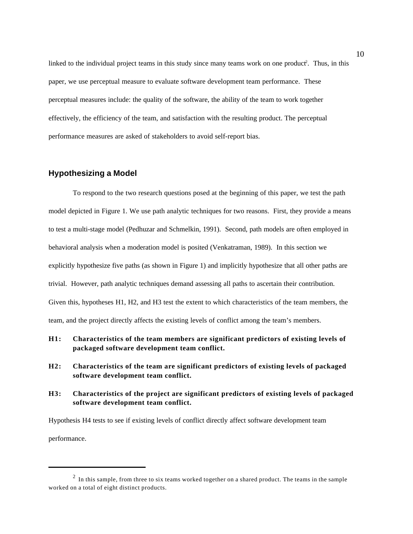linked to the individual project teams in this study since many teams work on one product<sup>2</sup>. Thus, in this paper, we use perceptual measure to evaluate software development team performance. These perceptual measures include: the quality of the software, the ability of the team to work together effectively, the efficiency of the team, and satisfaction with the resulting product. The perceptual performance measures are asked of stakeholders to avoid self-report bias.

# **Hypothesizing a Model**

To respond to the two research questions posed at the beginning of this paper, we test the path model depicted in Figure 1. We use path analytic techniques for two reasons. First, they provide a means to test a multi-stage model (Pedhuzar and Schmelkin, 1991). Second, path models are often employed in behavioral analysis when a moderation model is posited (Venkatraman, 1989). In this section we explicitly hypothesize five paths (as shown in Figure 1) and implicitly hypothesize that all other paths are trivial. However, path analytic techniques demand assessing all paths to ascertain their contribution. Given this, hypotheses H1, H2, and H3 test the extent to which characteristics of the team members, the team, and the project directly affects the existing levels of conflict among the team's members.

- **H1: Characteristics of the team members are significant predictors of existing levels of packaged software development team conflict.**
- **H2: Characteristics of the team are significant predictors of existing levels of packaged software development team conflict.**
- **H3: Characteristics of the project are significant predictors of existing levels of packaged software development team conflict.**

Hypothesis H4 tests to see if existing levels of conflict directly affect software development team performance.

 $2$  In this sample, from three to six teams worked together on a shared product. The teams in the sample worked on a total of eight distinct products.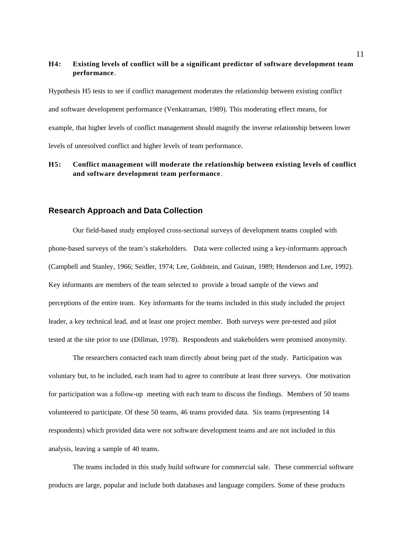# **H4: Existing levels of conflict will be a significant predictor of software development team performance**.

Hypothesis H5 tests to see if conflict management moderates the relationship between existing conflict and software development performance (Venkatraman, 1989). This moderating effect means, for example, that higher levels of conflict management should magnify the inverse relationship between lower levels of unresolved conflict and higher levels of team performance.

# **H5: Conflict management will moderate the relationship between existing levels of conflict and software development team performance**.

## **Research Approach and Data Collection**

Our field-based study employed cross-sectional surveys of development teams coupled with phone-based surveys of the team's stakeholders. Data were collected using a key-informants approach (Campbell and Stanley, 1966; Seidler, 1974; Lee, Goldstein, and Guinan, 1989; Henderson and Lee, 1992). Key informants are members of the team selected to provide a broad sample of the views and perceptions of the entire team. Key informants for the teams included in this study included the project leader, a key technical lead, and at least one project member. Both surveys were pre-tested and pilot tested at the site prior to use (Dillman, 1978). Respondents and stakeholders were promised anonymity.

The researchers contacted each team directly about being part of the study. Participation was voluntary but, to be included, each team had to agree to contribute at least three surveys. One motivation for participation was a follow-up meeting with each team to discuss the findings. Members of 50 teams volunteered to participate. Of these 50 teams, 46 teams provided data. Six teams (representing 14 respondents) which provided data were not software development teams and are not included in this analysis, leaving a sample of 40 teams.

The teams included in this study build software for commercial sale. These commercial software products are large, popular and include both databases and language compilers. Some of these products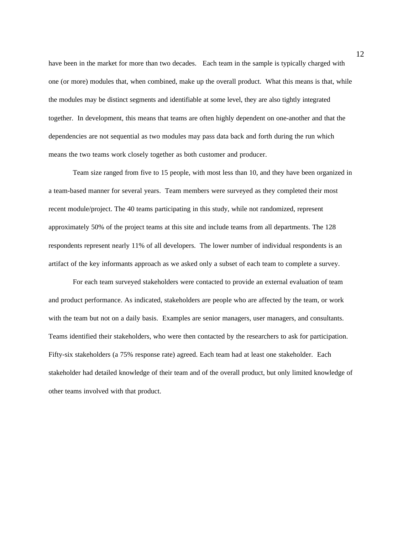have been in the market for more than two decades. Each team in the sample is typically charged with one (or more) modules that, when combined, make up the overall product. What this means is that, while the modules may be distinct segments and identifiable at some level, they are also tightly integrated together. In development, this means that teams are often highly dependent on one-another and that the dependencies are not sequential as two modules may pass data back and forth during the run which means the two teams work closely together as both customer and producer.

Team size ranged from five to 15 people, with most less than 10, and they have been organized in a team-based manner for several years. Team members were surveyed as they completed their most recent module/project. The 40 teams participating in this study, while not randomized, represent approximately 50% of the project teams at this site and include teams from all departments. The 128 respondents represent nearly 11% of all developers. The lower number of individual respondents is an artifact of the key informants approach as we asked only a subset of each team to complete a survey.

For each team surveyed stakeholders were contacted to provide an external evaluation of team and product performance. As indicated, stakeholders are people who are affected by the team, or work with the team but not on a daily basis. Examples are senior managers, user managers, and consultants. Teams identified their stakeholders, who were then contacted by the researchers to ask for participation. Fifty-six stakeholders (a 75% response rate) agreed. Each team had at least one stakeholder. Each stakeholder had detailed knowledge of their team and of the overall product, but only limited knowledge of other teams involved with that product.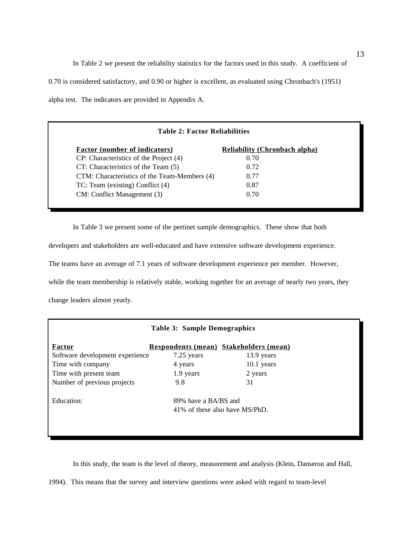In Table 2 we present the reliability statistics for the factors used in this study. A coefficient of 0.70 is considered satisfactory, and 0.90 or higher is excellent, as evaluated using Chronbach's (1951) alpha test. The indicators are provided in Appendix A.

| <b>Table 2: Factor Reliabilities</b>         |                                      |  |  |  |  |
|----------------------------------------------|--------------------------------------|--|--|--|--|
| <b>Factor (number of indicators)</b>         | <b>Reliability (Chronbach alpha)</b> |  |  |  |  |
| CP: Characteristics of the Project (4)       | 0.70                                 |  |  |  |  |
| CT: Characteristics of the Team (5)          | 0.72                                 |  |  |  |  |
| CTM: Characteristics of the Team-Members (4) | 0.77                                 |  |  |  |  |
| TC: Team (existing) Conflict (4)             | 0.87                                 |  |  |  |  |
| CM: Conflict Management (3)                  | 0.70                                 |  |  |  |  |

In Table 3 we present some of the pertinet sample demographics. These show that both developers and stakeholders are well-educated and have extensive software development experience. The teams have an average of 7.1 years of software development experience per member. However, while the team membership is relatively stable, working together for an average of nearly two years, they change leaders almost yearly.

| <b>Table 3: Sample Demographics</b> |                      |                                               |  |  |  |  |  |
|-------------------------------------|----------------------|-----------------------------------------------|--|--|--|--|--|
| Factor                              |                      | <b>Respondents (mean) Stakeholders (mean)</b> |  |  |  |  |  |
| Software development experience     | 7.25 years           | 13.9 years                                    |  |  |  |  |  |
| Time with company                   | 4 years              | $10.1$ years                                  |  |  |  |  |  |
| Time with present team              | 1.9 years            | 2 years                                       |  |  |  |  |  |
| Number of previous projects         | 9.8                  | 31                                            |  |  |  |  |  |
| Education:                          | 89% have a BA/BS and |                                               |  |  |  |  |  |
|                                     |                      | 41% of these also have MS/PhD.                |  |  |  |  |  |
|                                     |                      |                                               |  |  |  |  |  |
|                                     |                      |                                               |  |  |  |  |  |

In this study, the team is the level of theory, measurement and analysis (Klein, Danserou and Hall,

1994). This means that the survey and interview questions were asked with regard to team-level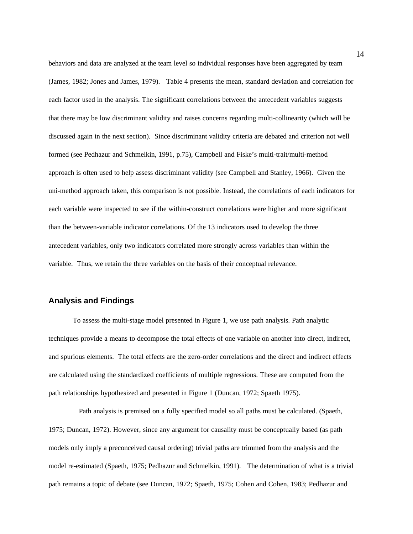behaviors and data are analyzed at the team level so individual responses have been aggregated by team (James, 1982; Jones and James, 1979). Table 4 presents the mean, standard deviation and correlation for each factor used in the analysis. The significant correlations between the antecedent variables suggests that there may be low discriminant validity and raises concerns regarding multi-collinearity (which will be discussed again in the next section). Since discriminant validity criteria are debated and criterion not well formed (see Pedhazur and Schmelkin, 1991, p.75), Campbell and Fiske's multi-trait/multi-method approach is often used to help assess discriminant validity (see Campbell and Stanley, 1966). Given the uni-method approach taken, this comparison is not possible. Instead, the correlations of each indicators for each variable were inspected to see if the within-construct correlations were higher and more significant than the between-variable indicator correlations. Of the 13 indicators used to develop the three antecedent variables, only two indicators correlated more strongly across variables than within the variable. Thus, we retain the three variables on the basis of their conceptual relevance.

# **Analysis and Findings**

To assess the multi-stage model presented in Figure 1, we use path analysis. Path analytic techniques provide a means to decompose the total effects of one variable on another into direct, indirect, and spurious elements. The total effects are the zero-order correlations and the direct and indirect effects are calculated using the standardized coefficients of multiple regressions. These are computed from the path relationships hypothesized and presented in Figure 1 (Duncan, 1972; Spaeth 1975).

 Path analysis is premised on a fully specified model so all paths must be calculated. (Spaeth, 1975; Duncan, 1972). However, since any argument for causality must be conceptually based (as path models only imply a preconceived causal ordering) trivial paths are trimmed from the analysis and the model re-estimated (Spaeth, 1975; Pedhazur and Schmelkin, 1991). The determination of what is a trivial path remains a topic of debate (see Duncan, 1972; Spaeth, 1975; Cohen and Cohen, 1983; Pedhazur and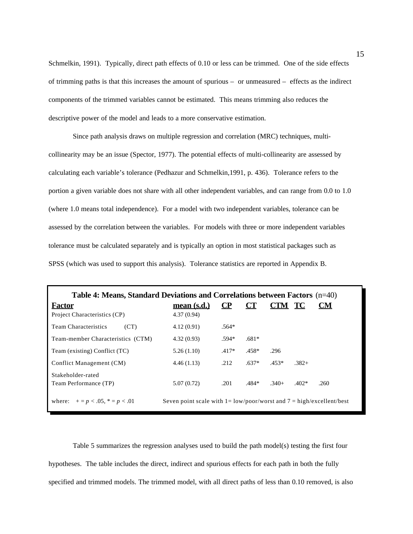Schmelkin, 1991). Typically, direct path effects of 0.10 or less can be trimmed. One of the side effects of trimming paths is that this increases the amount of spurious – or unmeasured – effects as the indirect components of the trimmed variables cannot be estimated. This means trimming also reduces the descriptive power of the model and leads to a more conservative estimation.

Since path analysis draws on multiple regression and correlation (MRC) techniques, multicollinearity may be an issue (Spector, 1977). The potential effects of multi-collinearity are assessed by calculating each variable's tolerance (Pedhazur and Schmelkin,1991, p. 436). Tolerance refers to the portion a given variable does not share with all other independent variables, and can range from 0.0 to 1.0 (where 1.0 means total independence). For a model with two independent variables, tolerance can be assessed by the correlation between the variables. For models with three or more independent variables tolerance must be calculated separately and is typically an option in most statistical packages such as SPSS (which was used to support this analysis). Tolerance statistics are reported in Appendix B.

| Table 4: Means, Standard Deviations and Correlations between Factors $(n=40)$ |                                                                                               |          |         |         |         |           |
|-------------------------------------------------------------------------------|-----------------------------------------------------------------------------------------------|----------|---------|---------|---------|-----------|
| <b>Factor</b>                                                                 | mean(s.d.)                                                                                    | $\bf CP$ | CT      | CTM TC  |         | <b>CM</b> |
| Project Characteristics (CP)                                                  | 4.37(0.94)                                                                                    |          |         |         |         |           |
| <b>Team Characteristics</b><br>(CT)                                           | 4.12(0.91)                                                                                    | $.564*$  |         |         |         |           |
| Team-member Characteristics (CTM)                                             | 4.32(0.93)                                                                                    | $.594*$  | $.681*$ |         |         |           |
| Team (existing) Conflict (TC)                                                 | 5.26(1.10)                                                                                    | $.417*$  | $.458*$ | .296    |         |           |
| Conflict Management (CM)                                                      | 4.46(1.13)                                                                                    | .212     | $.637*$ | $.453*$ | $.382+$ |           |
| Stakeholder-rated<br>Team Performance (TP)                                    | 5.07(0.72)                                                                                    | .201     | .484*   | $.340+$ | $.402*$ | .260      |
| where: $+= p < .05$ , $* = p < .01$                                           | Seven point scale with $1 = \frac{low}{poor} / worst$ and $7 = \frac{high}{excellent} / best$ |          |         |         |         |           |

Table 5 summarizes the regression analyses used to build the path model(s) testing the first four hypotheses. The table includes the direct, indirect and spurious effects for each path in both the fully specified and trimmed models. The trimmed model, with all direct paths of less than 0.10 removed, is also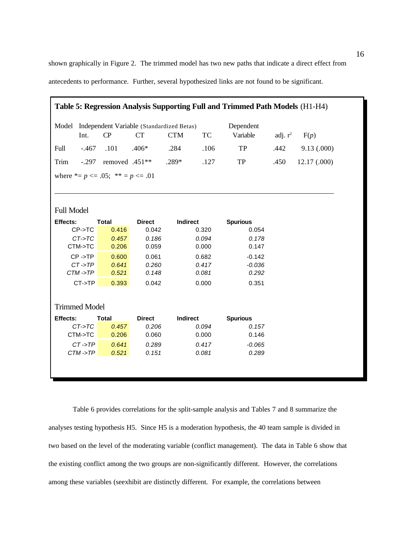shown graphically in Figure 2. The trimmed model has two new paths that indicate a direct effect from antecedents to performance. Further, several hypothesized links are not found to be significant.

| Table 5: Regression Analysis Supporting Full and Trimmed Path Models (H1-H4) |                      |                       |                                                        |                 |       |                          |            |            |
|------------------------------------------------------------------------------|----------------------|-----------------------|--------------------------------------------------------|-----------------|-------|--------------------------|------------|------------|
| Model                                                                        | Int.                 | CP                    | Independent Variable (Standardized Betas)<br><b>CT</b> | <b>CTM</b>      | TC    | Dependent<br>Variable    | adj. $r^2$ | F(p)       |
| Full                                                                         | $-.467$              | .101                  | $.406*$                                                | .284            | .106  | TP                       | .442       | 9.13(.000) |
| Trim                                                                         | $-.297$              | removed .451**        |                                                        | $.289*$         | .127  | TP                       | .450       | 12.17(000) |
| where $* = p \le 0.05$ ; $* = p \le 0.01$                                    |                      |                       |                                                        |                 |       |                          |            |            |
|                                                                              |                      |                       |                                                        |                 |       |                          |            |            |
| <b>Full Model</b>                                                            |                      |                       |                                                        |                 |       |                          |            |            |
| Effects:                                                                     |                      | <b>Total</b>          | <b>Direct</b>                                          | <b>Indirect</b> |       | <b>Spurious</b>          |            |            |
|                                                                              | $CP- > TC$           | 0.416                 | 0.042                                                  |                 | 0.320 | 0.054                    |            |            |
|                                                                              | $CT-5TC$             | 0.457                 | 0.186                                                  |                 | 0.094 | 0.178                    |            |            |
|                                                                              | CTM->TC              | 0.206                 | 0.059                                                  |                 | 0.000 | 0.147                    |            |            |
|                                                                              | $CP - > TP$          | 0.600                 | 0.061                                                  |                 | 0.682 | $-0.142$                 |            |            |
|                                                                              | $CT - TP$            | 0.641                 | 0.260                                                  |                 | 0.417 | $-0.036$                 |            |            |
|                                                                              | $CTM - >TP$          | 0.521                 | 0.148                                                  |                 | 0.081 | 0.292                    |            |            |
|                                                                              | $CT-5TP$             | 0.393                 | 0.042                                                  |                 | 0.000 | 0.351                    |            |            |
|                                                                              | <b>Trimmed Model</b> |                       |                                                        |                 |       |                          |            |            |
|                                                                              |                      |                       |                                                        |                 |       |                          |            |            |
| Effects:                                                                     | $CT- > TC$           | <b>Total</b><br>0.457 | <b>Direct</b><br>0.206                                 | <b>Indirect</b> | 0.094 | <b>Spurious</b><br>0.157 |            |            |
|                                                                              | CTM->TC              | 0.206                 | 0.060                                                  |                 | 0.000 | 0.146                    |            |            |
|                                                                              | $CT - T$ $P$         |                       |                                                        |                 |       |                          |            |            |
|                                                                              |                      | 0.641                 | 0.289                                                  |                 | 0.417 | $-0.065$                 |            |            |
|                                                                              | $CTM - >TP$          | 0.521                 | 0.151                                                  |                 | 0.081 | 0.289                    |            |            |

Table 6 provides correlations for the split-sample analysis and Tables 7 and 8 summarize the analyses testing hypothesis H5. Since H5 is a moderation hypothesis, the 40 team sample is divided in two based on the level of the moderating variable (conflict management). The data in Table 6 show that the existing conflict among the two groups are non-significantly different. However, the correlations among these variables (seexhibit are distinctly different. For example, the correlations between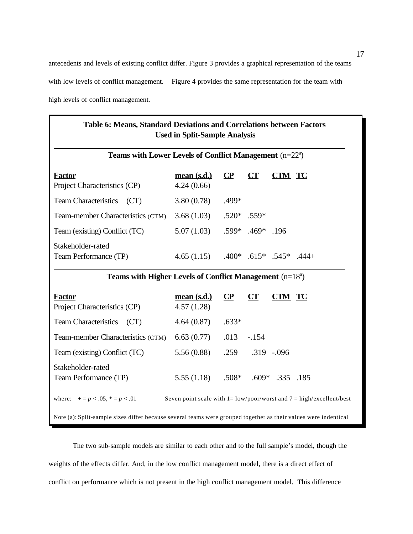antecedents and levels of existing conflict differ. Figure 3 provides a graphical representation of the teams with low levels of conflict management. Figure 4 provides the same representation for the team with high levels of conflict management.

| Teams with Lower Levels of Conflict Management $(n=22^a)$  |                          |          |                                 |                   |  |  |
|------------------------------------------------------------|--------------------------|----------|---------------------------------|-------------------|--|--|
| <b>Factor</b><br>Project Characteristics (CP)              | mean(s.d.)<br>4.24(0.66) | $\bf CP$ | CT                              | <b>CTM TC</b>     |  |  |
| <b>Team Characteristics</b><br>(CT)                        | 3.80(0.78)               | .499*    |                                 |                   |  |  |
| Team-member Characteristics (CTM)                          | 3.68(1.03)               |          | $.520*$ .559*                   |                   |  |  |
| Team (existing) Conflict (TC)                              | 5.07(1.03)               |          | $.599*$ .469* .196              |                   |  |  |
| Stakeholder-rated<br>Team Performance (TP)                 | 4.65(1.15)               |          | $.400*$ $.615*$ $.545*$ $.444+$ |                   |  |  |
| Teams with Higher Levels of Conflict Management $(n=18^a)$ |                          |          |                                 |                   |  |  |
| <b>Factor</b><br>Project Characteristics (CP)              | mean(s.d.)<br>4.57(1.28) | $\bf CP$ | CT                              | <b>CTM TC</b>     |  |  |
| <b>Team Characteristics</b><br>(CT)                        | 4.64(0.87)               | $.633*$  |                                 |                   |  |  |
| Team-member Characteristics (CTM)                          | 6.63(0.77)               | .013     | $-.154$                         |                   |  |  |
| Team (existing) Conflict (TC)                              | 5.56(0.88)               | .259     |                                 | $.319 - .096$     |  |  |
| Stakeholder-rated<br>Team Performance (TP)                 | 5.55(1.18)               | $.508*$  |                                 | $.609*$ .335 .185 |  |  |

The two sub-sample models are similar to each other and to the full sample's model, though the weights of the effects differ. And, in the low conflict management model, there is a direct effect of conflict on performance which is not present in the high conflict management model. This difference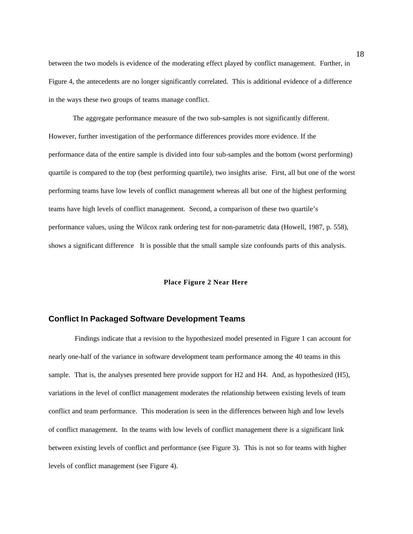between the two models is evidence of the moderating effect played by conflict management. Further, in Figure 4, the antecedents are no longer significantly correlated. This is additional evidence of a difference in the ways these two groups of teams manage conflict.

The aggregate performance measure of the two sub-samples is not significantly different. However, further investigation of the performance differences provides more evidence. If the performance data of the entire sample is divided into four sub-samples and the bottom (worst performing) quartile is compared to the top (best performing quartile), two insights arise. First, all but one of the worst performing teams have low levels of conflict management whereas all but one of the highest performing teams have high levels of conflict management. Second, a comparison of these two quartile's performance values, using the Wilcox rank ordering test for non-parametric data (Howell, 1987, p. 558), shows a significant difference It is possible that the small sample size confounds parts of this analysis.

## **Place Figure 2 Near Here**

# **Conflict In Packaged Software Development Teams**

 Findings indicate that a revision to the hypothesized model presented in Figure 1 can account for nearly one-half of the variance in software development team performance among the 40 teams in this sample. That is, the analyses presented here provide support for H2 and H4. And, as hypothesized (H5), variations in the level of conflict management moderates the relationship between existing levels of team conflict and team performance. This moderation is seen in the differences between high and low levels of conflict management. In the teams with low levels of conflict management there is a significant link between existing levels of conflict and performance (see Figure 3). This is not so for teams with higher levels of conflict management (see Figure 4).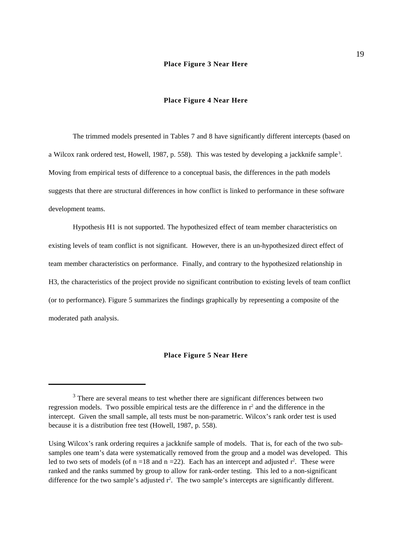## **Place Figure 3 Near Here**

## **Place Figure 4 Near Here**

The trimmed models presented in Tables 7 and 8 have significantly different intercepts (based on a Wilcox rank ordered test, Howell, 1987, p. 558). This was tested by developing a jackknife sample<sup>3</sup>. Moving from empirical tests of difference to a conceptual basis, the differences in the path models suggests that there are structural differences in how conflict is linked to performance in these software development teams.

Hypothesis H1 is not supported. The hypothesized effect of team member characteristics on existing levels of team conflict is not significant. However, there is an un-hypothesized direct effect of team member characteristics on performance. Finally, and contrary to the hypothesized relationship in H3, the characteristics of the project provide no significant contribution to existing levels of team conflict (or to performance). Figure 5 summarizes the findings graphically by representing a composite of the moderated path analysis.

## **Place Figure 5 Near Here**

<sup>&</sup>lt;sup>3</sup> There are several means to test whether there are significant differences between two regression models. Two possible empirical tests are the difference in  $r<sup>2</sup>$  and the difference in the intercept. Given the small sample, all tests must be non-parametric. Wilcox's rank order test is used because it is a distribution free test (Howell, 1987, p. 558).

Using Wilcox's rank ordering requires a jackknife sample of models. That is, for each of the two subsamples one team's data were systematically removed from the group and a model was developed. This led to two sets of models (of  $n = 18$  and  $n = 22$ ). Each has an intercept and adjusted  $r^2$ . These were ranked and the ranks summed by group to allow for rank-order testing. This led to a non-significant difference for the two sample's adjusted  $r^2$ . The two sample's intercepts are significantly different.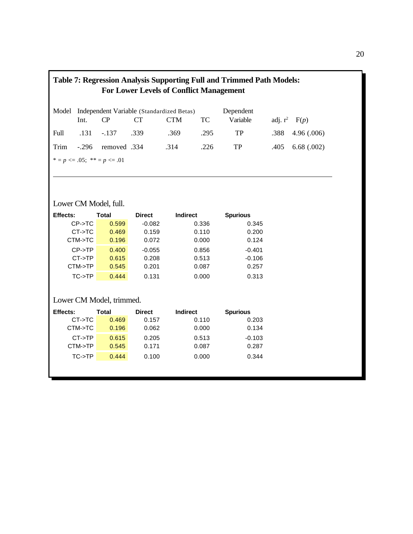| <b>Table 7: Regression Analysis Supporting Full and Trimmed Path Models:</b><br><b>For Lower Levels of Conflict Management</b> |         |               |      |                                                 |      |           |            |            |  |
|--------------------------------------------------------------------------------------------------------------------------------|---------|---------------|------|-------------------------------------------------|------|-----------|------------|------------|--|
|                                                                                                                                |         |               |      | Model Independent Variable (Standardized Betas) |      | Dependent |            |            |  |
|                                                                                                                                | Int.    | CP            | CT.  | <b>CTM</b>                                      | TC.  | Variable  | adj. $r^2$ | F(p)       |  |
| Full                                                                                                                           |         | $.131 - .137$ | -339 | .369                                            | .295 | TP        | .388       | 4.96(.006) |  |
| Trim                                                                                                                           | $-.296$ | 334. removed  |      | .314                                            | .226 | TP        | .405       | 6.68(.002) |  |
| * = $p \le 0.05$ ; ** = $p \le 0.01$                                                                                           |         |               |      |                                                 |      |           |            |            |  |
|                                                                                                                                |         |               |      |                                                 |      |           |            |            |  |

# Lower CM Model, full.

| <b>Effects:</b> | Total | <b>Direct</b> | <b>Indirect</b> | <b>Spurious</b> |
|-----------------|-------|---------------|-----------------|-----------------|
| $CP-5TC$        | 0.599 | $-0.082$      | 0.336           | 0.345           |
| $CT-5TC$        | 0.469 | 0.159         | 0.110           | 0.200           |
| CTM->TC         | 0.196 | 0.072         | 0.000           | 0.124           |
| $CP->TP$        | 0.400 | $-0.055$      | 0.856           | $-0.401$        |
| $CT-5TP$        | 0.615 | 0.208         | 0.513           | $-0.106$        |
| CTM->TP         | 0.545 | 0.201         | 0.087           | 0.257           |
| TC->TP          | 0.444 | 0.131         | 0.000           | 0.313           |

# Lower CM Model, trimmed.

| <b>Effects:</b> | Total | <b>Direct</b> | <b>Indirect</b> | <b>Spurious</b> |
|-----------------|-------|---------------|-----------------|-----------------|
| $CT-5TC$        | 0.469 | 0.157         | 0.110           | 0.203           |
| CTM->TC         | 0.196 | 0.062         | 0.000           | 0.134           |
| $CT-5TP$        | 0.615 | 0.205         | 0.513           | $-0.103$        |
| CTM->TP         | 0.545 | 0.171         | 0.087           | 0.287           |
| TC->TP          | 0.444 | 0.100         | 0.000           | 0.344           |
|                 |       |               |                 |                 |
|                 |       |               |                 |                 |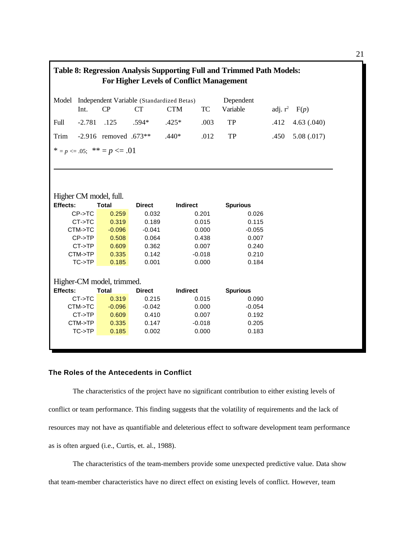| <b>Table 8: Regression Analysis Supporting Full and Trimmed Path Models:</b><br><b>For Higher Levels of Conflict Management</b> |            |                             |               |                                           |          |                 |      |                   |  |
|---------------------------------------------------------------------------------------------------------------------------------|------------|-----------------------------|---------------|-------------------------------------------|----------|-----------------|------|-------------------|--|
| Model                                                                                                                           |            |                             |               | Independent Variable (Standardized Betas) |          | Dependent       |      |                   |  |
|                                                                                                                                 | Int.       | CP                          | CT            | <b>CTM</b>                                | TC       | Variable        |      | adj. $r^2$ $F(p)$ |  |
| Full                                                                                                                            | $-2.781$   | .125                        | $.594*$       | $.425*$                                   | .003     | TP              | .412 | 4.63(.040)        |  |
| Trim                                                                                                                            |            | $-2.916$ removed $.673**$   |               | $.440*$                                   | .012     | TP              | .450 | 5.08(.017)        |  |
|                                                                                                                                 |            | * = p <= .05; ** = p <= .01 |               |                                           |          |                 |      |                   |  |
|                                                                                                                                 |            |                             |               |                                           |          |                 |      |                   |  |
|                                                                                                                                 |            |                             |               |                                           |          |                 |      |                   |  |
|                                                                                                                                 |            |                             |               |                                           |          |                 |      |                   |  |
|                                                                                                                                 |            |                             |               |                                           |          |                 |      |                   |  |
|                                                                                                                                 |            | Higher CM model, full.      |               |                                           |          |                 |      |                   |  |
| Effects:                                                                                                                        |            | <b>Total</b>                | <b>Direct</b> | <b>Indirect</b>                           |          | <b>Spurious</b> |      |                   |  |
|                                                                                                                                 | $CP- > TC$ | 0.259                       | 0.032         |                                           | 0.201    | 0.026           |      |                   |  |
|                                                                                                                                 | $CT- > TC$ | 0.319                       | 0.189         |                                           | 0.015    | 0.115           |      |                   |  |
|                                                                                                                                 | CTM->TC    | $-0.096$                    | $-0.041$      |                                           | 0.000    | $-0.055$        |      |                   |  |
|                                                                                                                                 | $CP-5TP$   | 0.508                       | 0.064         |                                           | 0.438    | 0.007           |      |                   |  |
|                                                                                                                                 | $CT->TP$   | 0.609                       | 0.362         |                                           | 0.007    | 0.240           |      |                   |  |
|                                                                                                                                 | CTM->TP    | 0.335                       | 0.142         |                                           | $-0.018$ | 0.210           |      |                   |  |
|                                                                                                                                 | TC->TP     | 0.185                       | 0.001         |                                           | 0.000    | 0.184           |      |                   |  |
|                                                                                                                                 |            |                             |               |                                           |          |                 |      |                   |  |
|                                                                                                                                 |            | Higher-CM model, trimmed.   |               |                                           |          |                 |      |                   |  |
| Effects:                                                                                                                        |            | <b>Total</b>                | <b>Direct</b> | <b>Indirect</b>                           |          | <b>Spurious</b> |      |                   |  |
|                                                                                                                                 | $CT- > TC$ | 0.319                       | 0.215         |                                           | 0.015    | 0.090           |      |                   |  |
|                                                                                                                                 | CTM->TC    | $-0.096$                    | $-0.042$      |                                           | 0.000    | $-0.054$        |      |                   |  |
|                                                                                                                                 | $CT-5TP$   | 0.609                       | 0.410         |                                           | 0.007    | 0.192           |      |                   |  |
|                                                                                                                                 | CTM->TP    | 0.335                       | 0.147         |                                           | $-0.018$ | 0.205           |      |                   |  |
|                                                                                                                                 | TC->TP     | 0.185                       | 0.002         |                                           | 0.000    | 0.183           |      |                   |  |

# **The Roles of the Antecedents in Conflict**

The characteristics of the project have no significant contribution to either existing levels of conflict or team performance. This finding suggests that the volatility of requirements and the lack of resources may not have as quantifiable and deleterious effect to software development team performance as is often argued (i.e., Curtis, et. al., 1988).

The characteristics of the team-members provide some unexpected predictive value. Data show that team-member characteristics have no direct effect on existing levels of conflict. However, team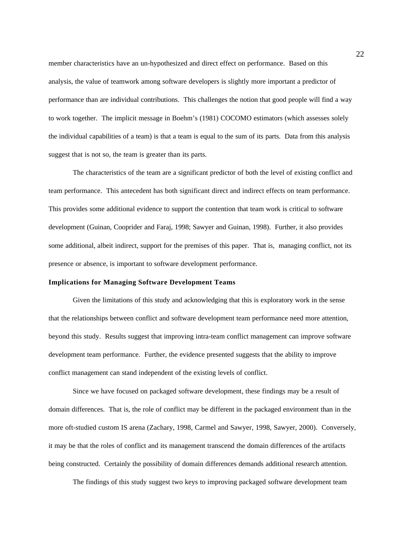member characteristics have an un-hypothesized and direct effect on performance. Based on this analysis, the value of teamwork among software developers is slightly more important a predictor of performance than are individual contributions. This challenges the notion that good people will find a way to work together. The implicit message in Boehm's (1981) COCOMO estimators (which assesses solely the individual capabilities of a team) is that a team is equal to the sum of its parts. Data from this analysis suggest that is not so, the team is greater than its parts.

The characteristics of the team are a significant predictor of both the level of existing conflict and team performance. This antecedent has both significant direct and indirect effects on team performance. This provides some additional evidence to support the contention that team work is critical to software development (Guinan, Cooprider and Faraj, 1998; Sawyer and Guinan, 1998). Further, it also provides some additional, albeit indirect, support for the premises of this paper. That is, managing conflict, not its presence or absence, is important to software development performance.

## **Implications for Managing Software Development Teams**

Given the limitations of this study and acknowledging that this is exploratory work in the sense that the relationships between conflict and software development team performance need more attention, beyond this study. Results suggest that improving intra-team conflict management can improve software development team performance. Further, the evidence presented suggests that the ability to improve conflict management can stand independent of the existing levels of conflict.

Since we have focused on packaged software development, these findings may be a result of domain differences. That is, the role of conflict may be different in the packaged environment than in the more oft-studied custom IS arena (Zachary, 1998, Carmel and Sawyer, 1998, Sawyer, 2000). Conversely, it may be that the roles of conflict and its management transcend the domain differences of the artifacts being constructed. Certainly the possibility of domain differences demands additional research attention.

The findings of this study suggest two keys to improving packaged software development team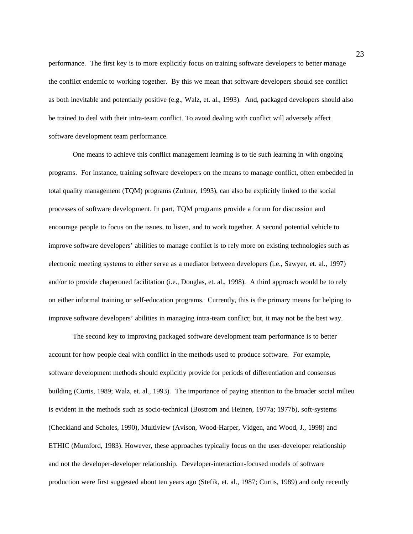performance. The first key is to more explicitly focus on training software developers to better manage the conflict endemic to working together. By this we mean that software developers should see conflict as both inevitable and potentially positive (e.g., Walz, et. al., 1993). And, packaged developers should also be trained to deal with their intra-team conflict. To avoid dealing with conflict will adversely affect software development team performance.

One means to achieve this conflict management learning is to tie such learning in with ongoing programs. For instance, training software developers on the means to manage conflict, often embedded in total quality management (TQM) programs (Zultner, 1993), can also be explicitly linked to the social processes of software development. In part, TQM programs provide a forum for discussion and encourage people to focus on the issues, to listen, and to work together. A second potential vehicle to improve software developers' abilities to manage conflict is to rely more on existing technologies such as electronic meeting systems to either serve as a mediator between developers (i.e., Sawyer, et. al., 1997) and/or to provide chaperoned facilitation (i.e., Douglas, et. al., 1998). A third approach would be to rely on either informal training or self-education programs. Currently, this is the primary means for helping to improve software developers' abilities in managing intra-team conflict; but, it may not be the best way.

The second key to improving packaged software development team performance is to better account for how people deal with conflict in the methods used to produce software. For example, software development methods should explicitly provide for periods of differentiation and consensus building (Curtis, 1989; Walz, et. al., 1993). The importance of paying attention to the broader social milieu is evident in the methods such as socio-technical (Bostrom and Heinen, 1977a; 1977b), soft-systems (Checkland and Scholes, 1990), Multiview (Avison, Wood-Harper, Vidgen, and Wood, J., 1998) and ETHIC (Mumford, 1983). However, these approaches typically focus on the user-developer relationship and not the developer-developer relationship. Developer-interaction-focused models of software production were first suggested about ten years ago (Stefik, et. al., 1987; Curtis, 1989) and only recently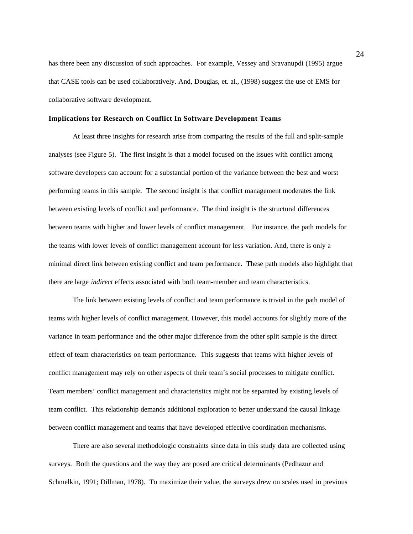has there been any discussion of such approaches. For example, Vessey and Sravanupdi (1995) argue that CASE tools can be used collaboratively. And, Douglas, et. al., (1998) suggest the use of EMS for collaborative software development.

## **Implications for Research on Conflict In Software Development Teams**

At least three insights for research arise from comparing the results of the full and split-sample analyses (see Figure 5). The first insight is that a model focused on the issues with conflict among software developers can account for a substantial portion of the variance between the best and worst performing teams in this sample. The second insight is that conflict management moderates the link between existing levels of conflict and performance. The third insight is the structural differences between teams with higher and lower levels of conflict management. For instance, the path models for the teams with lower levels of conflict management account for less variation. And, there is only a minimal direct link between existing conflict and team performance. These path models also highlight that there are large *indirect* effects associated with both team-member and team characteristics.

The link between existing levels of conflict and team performance is trivial in the path model of teams with higher levels of conflict management. However, this model accounts for slightly more of the variance in team performance and the other major difference from the other split sample is the direct effect of team characteristics on team performance. This suggests that teams with higher levels of conflict management may rely on other aspects of their team's social processes to mitigate conflict. Team members' conflict management and characteristics might not be separated by existing levels of team conflict. This relationship demands additional exploration to better understand the causal linkage between conflict management and teams that have developed effective coordination mechanisms.

There are also several methodologic constraints since data in this study data are collected using surveys. Both the questions and the way they are posed are critical determinants (Pedhazur and Schmelkin, 1991; Dillman, 1978). To maximize their value, the surveys drew on scales used in previous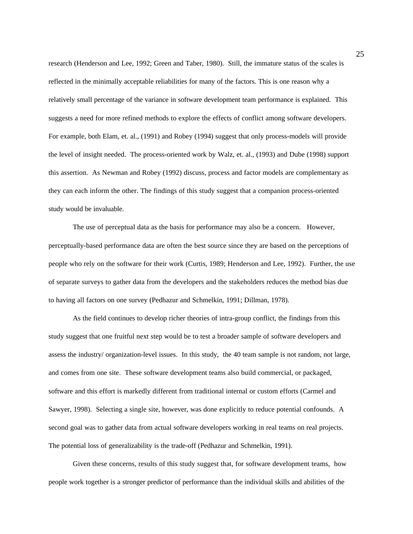research (Henderson and Lee, 1992; Green and Taber, 1980). Still, the immature status of the scales is reflected in the minimally acceptable reliabilities for many of the factors. This is one reason why a relatively small percentage of the variance in software development team performance is explained. This suggests a need for more refined methods to explore the effects of conflict among software developers. For example, both Elam, et. al., (1991) and Robey (1994) suggest that only process-models will provide the level of insight needed. The process-oriented work by Walz, et. al., (1993) and Dube (1998) support this assertion. As Newman and Robey (1992) discuss, process and factor models are complementary as they can each inform the other. The findings of this study suggest that a companion process-oriented study would be invaluable.

The use of perceptual data as the basis for performance may also be a concern. However, perceptually-based performance data are often the best source since they are based on the perceptions of people who rely on the software for their work (Curtis, 1989; Henderson and Lee, 1992). Further, the use of separate surveys to gather data from the developers and the stakeholders reduces the method bias due to having all factors on one survey (Pedhazur and Schmelkin, 1991; Dillman, 1978).

As the field continues to develop richer theories of intra-group conflict, the findings from this study suggest that one fruitful next step would be to test a broader sample of software developers and assess the industry/ organization-level issues. In this study, the 40 team sample is not random, not large, and comes from one site. These software development teams also build commercial, or packaged, software and this effort is markedly different from traditional internal or custom efforts (Carmel and Sawyer, 1998). Selecting a single site, however, was done explicitly to reduce potential confounds. A second goal was to gather data from actual software developers working in real teams on real projects. The potential loss of generalizability is the trade-off (Pedhazur and Schmelkin, 1991).

Given these concerns, results of this study suggest that, for software development teams, how people work together is a stronger predictor of performance than the individual skills and abilities of the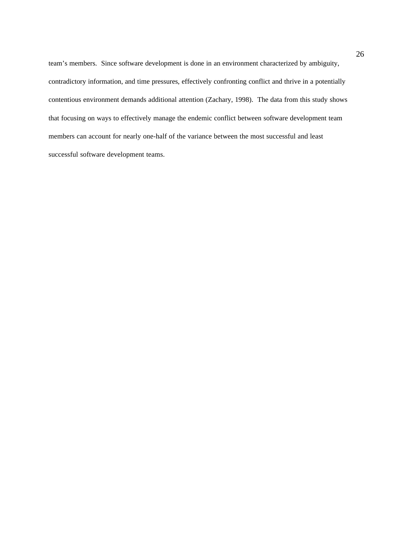team's members. Since software development is done in an environment characterized by ambiguity, contradictory information, and time pressures, effectively confronting conflict and thrive in a potentially contentious environment demands additional attention (Zachary, 1998). The data from this study shows that focusing on ways to effectively manage the endemic conflict between software development team members can account for nearly one-half of the variance between the most successful and least successful software development teams.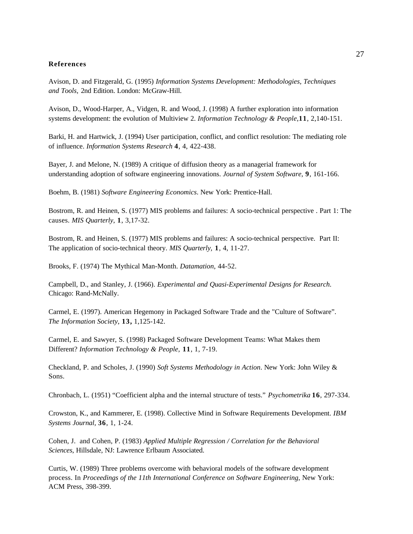## **References**

Avison, D. and Fitzgerald, G. (1995) *Information Systems Development: Methodologies, Techniques and Tools,* 2nd Edition. London: McGraw-Hill.

Avison, D., Wood-Harper, A., Vidgen, R. and Wood, J. (1998) A further exploration into information systems development: the evolution of Multiview 2. *Information Technology & People*,**11**, 2,140-151.

Barki, H. and Hartwick, J. (1994) User participation, conflict, and conflict resolution: The mediating role of influence. *Information Systems Research* **4**, 4, 422-438.

Bayer, J. and Melone, N. (1989) A critique of diffusion theory as a managerial framework for understanding adoption of software engineering innovations. *Journal of System Software*, **9**, 161-166.

Boehm, B. (1981) *Software Engineering Economics*. New York: Prentice-Hall.

Bostrom, R. and Heinen, S. (1977) MIS problems and failures: A socio-technical perspective . Part 1: The causes. *MIS Quarterly*, **1**, 3,17-32.

Bostrom, R. and Heinen, S. (1977) MIS problems and failures: A socio-technical perspective. Part II: The application of socio-technical theory. *MIS Quarterly,* **1**, 4, 11-27.

Brooks, F. (1974) The Mythical Man-Month. *Datamation*, 44-52.

Campbell, D., and Stanley, J. (1966). *Experimental and Quasi-Experimental Designs for Research*. Chicago: Rand-McNally.

Carmel, E. (1997). American Hegemony in Packaged Software Trade and the "Culture of Software". *The Information Society*, **13,** 1,125-142.

Carmel, E. and Sawyer, S. (1998) Packaged Software Development Teams: What Makes them Different? *Information Technology & People,* **11**, 1, 7-19.

Checkland, P. and Scholes, J. (1990) *Soft Systems Methodology in Action*. New York: John Wiley & Sons.

Chronbach, L. (1951) "Coefficient alpha and the internal structure of tests." *Psychometrika* **16**, 297-334.

Crowston, K., and Kammerer, E. (1998). Collective Mind in Software Requirements Development. *IBM Systems Journal,* **36**, 1, 1-24.

Cohen, J. and Cohen, P. (1983) *Applied Multiple Regression / Correlation for the Behavioral Sciences*, Hillsdale, NJ: Lawrence Erlbaum Associated.

Curtis, W. (1989) Three problems overcome with behavioral models of the software development process. In *Proceedings of the 11th International Conference on Software Engineering*, New York: ACM Press, 398-399.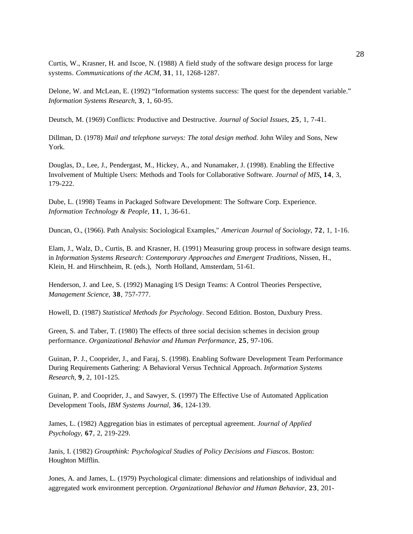Curtis, W., Krasner, H. and Iscoe, N. (1988) A field study of the software design process for large systems. *Communications of the ACM,* **31**, 11, 1268-1287.

Delone, W. and McLean, E. (1992) "Information systems success: The quest for the dependent variable." *Information Systems Research,* **3**, 1, 60-95.

Deutsch, M. (1969) Conflicts: Productive and Destructive. *Journal of Social Issues*, **25**, 1, 7-41.

Dillman, D. (1978) *Mail and telephone surveys: The total design method*. John Wiley and Sons, New York.

Douglas, D., Lee, J., Pendergast, M., Hickey, A., and Nunamaker, J. (1998). Enabling the Effective Involvement of Multiple Users: Methods and Tools for Collaborative Software. *Journal of MIS*, **14**, 3, 179-222.

Dube, L. (1998) Teams in Packaged Software Development: The Software Corp. Experience. *Information Technology & People*, **11**, 1, 36-61.

Duncan, O., (1966). Path Analysis: Sociological Examples," *American Journal of Sociology*, **72**, 1, 1-16.

Elam, J., Walz, D., Curtis, B. and Krasner, H. (1991) Measuring group process in software design teams. in *Information Systems Research: Contemporary Approaches and Emergent Traditions*, Nissen, H., Klein, H. and Hirschheim, R. (eds.), North Holland, Amsterdam, 51-61.

Henderson, J. and Lee, S. (1992) Managing I/S Design Teams: A Control Theories Perspective, *Management Science,* **38**, 757-777.

Howell, D. (1987) *Statistical Methods for Psychology*. Second Edition. Boston, Duxbury Press.

Green, S. and Taber, T. (1980) The effects of three social decision schemes in decision group performance. *Organizational Behavior and Human Performance*, **25**, 97-106.

Guinan, P. J., Cooprider, J., and Faraj, S. (1998). Enabling Software Development Team Performance During Requirements Gathering: A Behavioral Versus Technical Approach. *Information Systems Research*, **9**, 2, 101-125.

Guinan, P. and Cooprider, J., and Sawyer, S. (1997) The Effective Use of Automated Application Development Tools, *IBM Systems Journal*, **36**, 124-139.

James, L. (1982) Aggregation bias in estimates of perceptual agreement. *Journal of Applied Psychology,* **67**, 2, 219-229.

Janis, I. (1982) *Groupthink: Psychological Studies of Policy Decisions and Fiascos*. Boston: Houghton Mifflin.

Jones, A. and James, L. (1979) Psychological climate: dimensions and relationships of individual and aggregated work environment perception. *Organizational Behavior and Human Behavior,* **23**, 201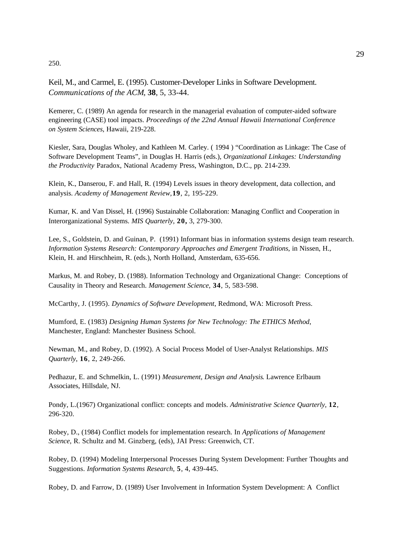250.

Keil, M., and Carmel, E. (1995). Customer-Developer Links in Software Development. *Communications of the ACM*, **38**, 5, 33-44.

Kemerer, C. (1989) An agenda for research in the managerial evaluation of computer-aided software engineering (CASE) tool impacts. *Proceedings of the 22nd Annual Hawaii International Conference on System Sciences*, Hawaii, 219-228.

Kiesler, Sara, Douglas Wholey, and Kathleen M. Carley. ( 1994 ) "Coordination as Linkage: The Case of Software Development Teams", in Douglas H. Harris (eds.), *Organizational Linkages: Understanding the Productivity* Paradox, National Academy Press, Washington, D.C., pp. 214-239.

Klein, K., Danserou, F. and Hall, R. (1994) Levels issues in theory development, data collection, and analysis. *Academy of Management Review,***19**, 2, 195-229.

Kumar, K. and Van Dissel, H. (1996) Sustainable Collaboration: Managing Conflict and Cooperation in Interorganizational Systems. *MIS Quarterly*, **20,** 3, 279-300.

Lee, S., Goldstein, D. and Guinan, P. (1991) Informant bias in information systems design team research. *Information Systems Research: Contemporary Approaches and Emergent Traditions*, in Nissen, H., Klein, H. and Hirschheim, R. (eds.), North Holland, Amsterdam, 635-656.

Markus, M. and Robey, D. (1988). Information Technology and Organizational Change: Conceptions of Causality in Theory and Research. *Management Science*, **34**, 5, 583-598.

McCarthy, J. (1995). *Dynamics of Software Development*, Redmond, WA: Microsoft Press.

Mumford, E. (1983) *Designing Human Systems for New Technology: The ETHICS Method*, Manchester, England: Manchester Business School.

Newman, M., and Robey, D. (1992). A Social Process Model of User-Analyst Relationships. *MIS Quarterly*, **16**, 2, 249-266.

Pedhazur, E. and Schmelkin, L. (1991) *Measurement, Design and Analysis*. Lawrence Erlbaum Associates, Hillsdale, NJ.

Pondy, L.(1967) Organizational conflict: concepts and models. *Administrative Science Quarterly,* **12**, 296-320.

Robey, D., (1984) Conflict models for implementation research. In *Applications of Management Science*, R. Schultz and M. Ginzberg, (eds), JAI Press: Greenwich, CT.

Robey, D. (1994) Modeling Interpersonal Processes During System Development: Further Thoughts and Suggestions. *Information Systems Research*, **5**, 4, 439-445.

Robey, D. and Farrow, D. (1989) User Involvement in Information System Development: A Conflict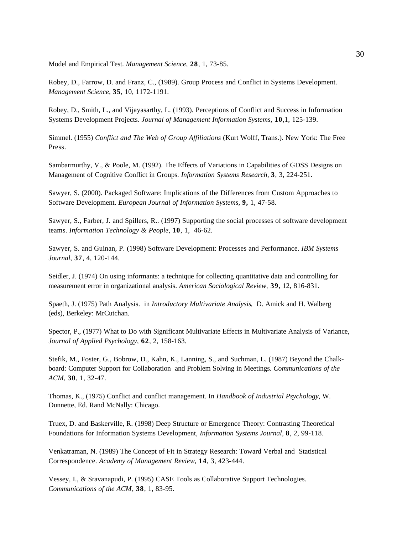Model and Empirical Test. *Management Science*, **28**, 1, 73-85.

Robey, D., Farrow, D. and Franz, C., (1989). Group Process and Conflict in Systems Development. *Management Science,* **35**, 10, 1172-1191.

Robey, D., Smith, L., and Vijayasarthy, L. (1993). Perceptions of Conflict and Success in Information Systems Development Projects. *Journal of Management Information Systems*, **10**,1, 125-139.

Simmel. (1955) *Conflict and The Web of Group Affiliations* (Kurt Wolff, Trans.). New York: The Free Press.

Sambarmurthy, V., & Poole, M. (1992). The Effects of Variations in Capabilities of GDSS Designs on Management of Cognitive Conflict in Groups. *Information Systems Research,* **3**, 3, 224-251.

Sawyer, S. (2000). Packaged Software: Implications of the Differences from Custom Approaches to Software Development. *European Journal of Information Systems,* **9,** 1, 47-58.

Sawyer, S., Farber, J. and Spillers, R.. (1997) Supporting the social processes of software development teams. *Information Technology & People,* **10**, 1, 46-62*.*

Sawyer, S. and Guinan, P. (1998) Software Development: Processes and Performance. *IBM Systems Journal*, **37**, 4, 120-144.

Seidler, J. (1974) On using informants: a technique for collecting quantitative data and controlling for measurement error in organizational analysis. *American Sociological Review,* **39**, 12, 816-831.

Spaeth, J. (1975) Path Analysis. in *Introductory Multivariate Analysis*, D. Amick and H. Walberg (eds), Berkeley: MrCutchan.

Spector, P., (1977) What to Do with Significant Multivariate Effects in Multivariate Analysis of Variance, *Journal of Applied Psychology*, **62**, 2, 158-163.

Stefik, M., Foster, G., Bobrow, D., Kahn, K., Lanning, S., and Suchman, L. (1987) Beyond the Chalkboard: Computer Support for Collaboration and Problem Solving in Meetings. *Communications of the ACM,* **30**, 1, 32-47.

Thomas, K., (1975) Conflict and conflict management. In *Handbook of Industrial Psychology*, W. Dunnette, Ed. Rand McNally: Chicago.

Truex, D. and Baskerville, R. (1998) Deep Structure or Emergence Theory: Contrasting Theoretical Foundations for Information Systems Development, *Information Systems Journal,* **8**, 2, 99-118.

Venkatraman, N. (1989) The Concept of Fit in Strategy Research: Toward Verbal and Statistical Correspondence. *Academy of Management Review*, **14**, 3, 423-444.

Vessey, I., & Sravanapudi, P. (1995) CASE Tools as Collaborative Support Technologies. *Communications of the ACM*, **38**, 1, 83-95.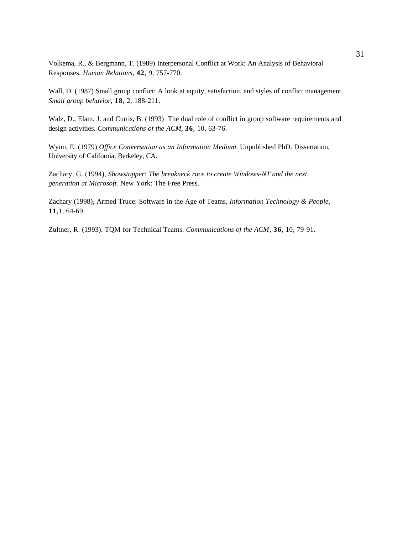Volkema, R., & Bergmann, T. (1989) Interpersonal Conflict at Work: An Analysis of Behavioral Responses. *Human Relations*, **42**, 9, 757-770.

Wall, D. (1987) Small group conflict: A look at equity, satisfaction, and styles of conflict management. *Small group behavior*, **18**, 2, 188-211.

Walz, D., Elam. J. and Curtis, B. (1993) The dual role of conflict in group software requirements and design activities. *Communications of the ACM,* **36***,* 10, 63-76.

Wynn, E. (1979) *Office Conversation as an Information Medium*. Unpublished PhD. Dissertation, University of California, Berkeley, CA.

Zachary, G. (1994), *Showstopper: The breakneck race to create Windows-NT and the next generation at Microsoft.* New York: The Free Press.

Zachary (1998), Armed Truce: Software in the Age of Teams, *Information Technology & People,* **11**,1, 64-69.

Zultner, R. (1993). TQM for Technical Teams. *Communications of the ACM*, **36**, 10, 79-91.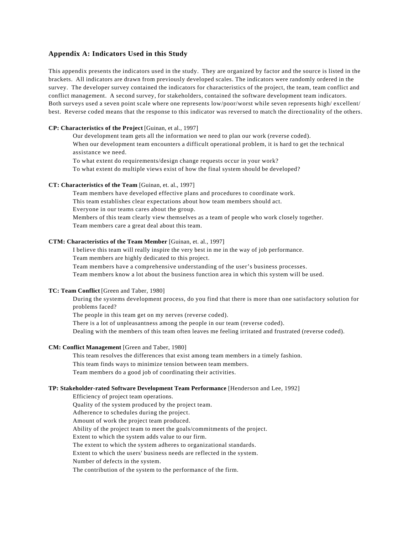## **Appendix A: Indicators Used in this Study**

This appendix presents the indicators used in the study. They are organized by factor and the source is listed in the brackets. All indicators are drawn from previously developed scales. The indicators were randomly ordered in the survey. The developer survey contained the indicators for characteristics of the project, the team, team conflict and conflict management. A second survey, for stakeholders, contained the software development team indicators. Both surveys used a seven point scale where one represents low/poor/worst while seven represents high/ excellent/ best. Reverse coded means that the response to this indicator was reversed to match the directionality of the others.

#### **CP: Characteristics of the Project** [Guinan, et al., 1997]

 Our development team gets all the information we need to plan our work (reverse coded). When our development team encounters a difficult operational problem, it is hard to get the technical assistance we need.

To what extent do requirements/design change requests occur in your work? To what extent do multiple views exist of how the final system should be developed?

## **CT: Characteristics of the Team** [Guinan, et. al., 1997]

Team members have developed effective plans and procedures to coordinate work. This team establishes clear expectations about how team members should act. Everyone in our teams cares about the group. Members of this team clearly view themselves as a team of people who work closely together. Team members care a great deal about this team.

#### **CTM: Characteristics of the Team Member** [Guinan, et. al., 1997]

I believe this team will really inspire the very best in me in the way of job performance.

Team members are highly dedicated to this project.

Team members have a comprehensive understanding of the user's business processes.

Team members know a lot about the business function area in which this system will be used.

## **TC: Team Conflict** [Green and Taber, 1980]

During the systems development process, do you find that there is more than one satisfactory solution for problems faced?

The people in this team get on my nerves (reverse coded).

There is a lot of unpleasantness among the people in our team (reverse coded).

Dealing with the members of this team often leaves me feeling irritated and frustrated (reverse coded).

## **CM: Conflict Management** [Green and Taber, 1980]

This team resolves the differences that exist among team members in a timely fashion.

This team finds ways to minimize tension between team members.

Team members do a good job of coordinating their activities.

### **TP: Stakeholder-rated Software Development Team Performance** [Henderson and Lee, 1992]

Efficiency of project team operations. Quality of the system produced by the project team. Adherence to schedules during the project. Amount of work the project team produced. Ability of the project team to meet the goals/commitments of the project. Extent to which the system adds value to our firm. The extent to which the system adheres to organizational standards. Extent to which the users' business needs are reflected in the system. Number of defects in the system. The contribution of the system to the performance of the firm.